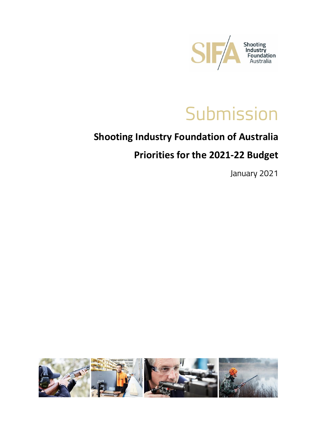

# **Submission**

### **Shooting Industry Foundation of Australia**

### **Priorities for the 2021-22 Budget**

January 2021

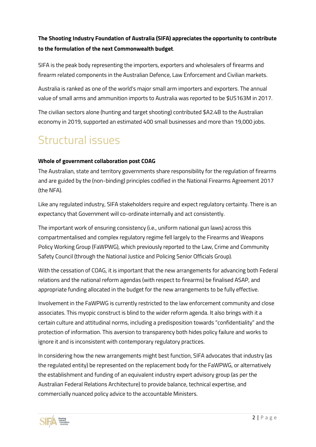#### **The Shooting Industry Foundation of Australia (SIFA) appreciates the opportunity to contribute to the formulation of the next Commonwealth budget**.

SIFA is the peak body representing the importers, exporters and wholesalers of firearms and firearm related components in the Australian Defence, Law Enforcement and Civilian markets.

Australia is ranked as one of the world's major small arm importers and exporters. The annual value of small arms and ammunition imports to Australia was reported to be \$US163M in 2017.

The civilian sectors alone (hunting and target shooting) contributed \$A2.4B to the Australian economy in 2019, supported an estimated 400 small businesses and more than 19,000 jobs.

# Structural issues

#### **Whole of government collaboration post COAG**

The Australian, state and territory governments share responsibility for the regulation of firearms and are guided by the (non-binding) principles codified in the National Firearms Agreement 2017 (the NFA).

Like any regulated industry, SIFA stakeholders require and expect regulatory certainty. There is an expectancy that Government will co-ordinate internally and act consistently.

The important work of ensuring consistency (i.e., uniform national gun laws) across this compartmentalised and complex regulatory regime fell largely to the Firearms and Weapons Policy Working Group (FaWPWG), which previously reported to the Law, Crime and Community Safety Council (through the National Justice and Policing Senior Officials Group).

With the cessation of COAG, it is important that the new arrangements for advancing both Federal relations and the national reform agendas (with respect to firearms) be finalised ASAP, and appropriate funding allocated in the budget for the new arrangements to be fully effective.

Involvement in the FaWPWG is currently restricted to the law enforcement community and close associates. This myopic construct is blind to the wider reform agenda. It also brings with it a certain culture and attitudinal norms, including a predisposition towards "confidentiality" and the protection of information. This aversion to transparency both hides policy failure and works to ignore it and is inconsistent with contemporary regulatory practices.

In considering how the new arrangements might best function, SIFA advocates that industry (as the regulated entity) be represented on the replacement body for the FaWPWG, or alternatively the establishment and funding of an equivalent industry expert advisory group (as per the Australian Federal Relations Architecture) to provide balance, technical expertise, and commercially nuanced policy advice to the accountable Ministers.

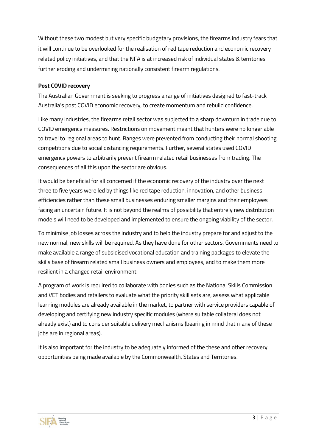Without these two modest but very specific budgetary provisions, the firearms industry fears that it will continue to be overlooked for the realisation of red tape reduction and economic recovery related policy initiatives, and that the NFA is at increased risk of individual states & territories further eroding and undermining nationally consistent firearm regulations.

#### **Post COVID recovery**

The Australian Government is seeking to progress a range of initiatives designed to fast-track Australia's post COVID economic recovery, to create momentum and rebuild confidence.

Like many industries, the firearms retail sector was subjected to a sharp downturn in trade due to COVID emergency measures. Restrictions on movement meant that hunters were no longer able to travel to regional areas to hunt. Ranges were prevented from conducting their normal shooting competitions due to social distancing requirements. Further, several states used COVID emergency powers to arbitrarily prevent firearm related retail businesses from trading. The consequences of all this upon the sector are obvious.

It would be beneficial for all concerned if the economic recovery of the industry over the next three to five years were led by things like red tape reduction, innovation, and other business efficiencies rather than these small businesses enduring smaller margins and their employees facing an uncertain future. It is not beyond the realms of possibility that entirely new distribution models will need to be developed and implemented to ensure the ongoing viability of the sector.

To minimise job losses across the industry and to help the industry prepare for and adjust to the new normal, new skills will be required. As they have done for other sectors, Governments need to make available a range of subsidised vocational education and training packages to elevate the skills base of firearm related small business owners and employees, and to make them more resilient in a changed retail environment.

A program of work is required to collaborate with bodies such as the National Skills Commission and VET bodies and retailers to evaluate what the priority skill sets are, assess what applicable learning modules are already available in the market, to partner with service providers capable of developing and certifying new industry specific modules (where suitable collateral does not already exist) and to consider suitable delivery mechanisms (bearing in mind that many of these jobs are in regional areas).

It is also important for the industry to be adequately informed of the these and other recovery opportunities being made available by the Commonwealth, States and Territories.

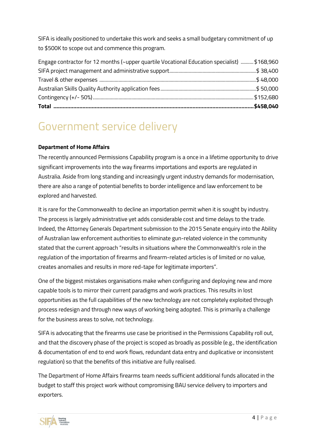SIFA is ideally positioned to undertake this work and seeks a small budgetary commitment of up to \$500K to scope out and commence this program.

| Engage contractor for 12 months (~upper quartile Vocational Education specialist)  \$168,960 |  |
|----------------------------------------------------------------------------------------------|--|
|                                                                                              |  |
|                                                                                              |  |
|                                                                                              |  |
|                                                                                              |  |
|                                                                                              |  |

## Government service delivery

#### **Department of Home Affairs**

The recently announced Permissions Capability program is a once in a lifetime opportunity to drive significant improvements into the way firearms importations and exports are regulated in Australia. Aside from long standing and increasingly urgent industry demands for modernisation, there are also a range of potential benefits to border intelligence and law enforcement to be explored and harvested.

It is rare for the Commonwealth to decline an importation permit when it is sought by industry. The process is largely administrative yet adds considerable cost and time delays to the trade. Indeed, the Attorney Generals Department submission to the 2015 Senate enquiry into the Ability of Australian law enforcement authorities to eliminate gun-related violence in the community stated that the current approach "results in situations where the Commonwealth's role in the regulation of the importation of firearms and firearm-related articles is of limited or no value, creates anomalies and results in more red-tape for legitimate importers".

One of the biggest mistakes organisations make when configuring and deploying new and more capable tools is to mirror their current paradigms and work practices. This results in lost opportunities as the full capabilities of the new technology are not completely exploited through process redesign and through new ways of working being adopted. This is primarily a challenge for the business areas to solve, not technology.

SIFA is advocating that the firearms use case be prioritised in the Permissions Capability roll out, and that the discovery phase of the project is scoped as broadly as possible (e.g., the identification & documentation of end to end work flows, redundant data entry and duplicative or inconsistent regulation) so that the benefits of this initiative are fully realised.

The Department of Home Affairs firearms team needs sufficient additional funds allocated in the budget to staff this project work without compromising BAU service delivery to importers and exporters.

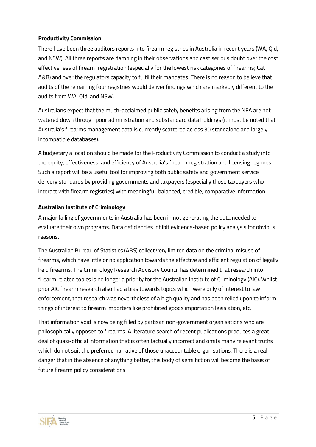#### **Productivity Commission**

There have been three auditors reports into firearm registries in Australia in recent years (WA, Qld, and NSW). All three reports are damning in their observations and cast serious doubt over the cost effectiveness of firearm registration (especially for the lowest risk categories of firearms; Cat A&B) and over the regulators capacity to fulfil their mandates. There is no reason to believe that audits of the remaining four registries would deliver findings which are markedly different to the audits from WA, Qld, and NSW.

Australians expect that the much-acclaimed public safety benefits arising from the NFA are not watered down through poor administration and substandard data holdings (it must be noted that Australia's firearms management data is currently scattered across 30 standalone and largely incompatible databases).

A budgetary allocation should be made for the Productivity Commission to conduct a study into the equity, effectiveness, and efficiency of Australia's firearm registration and licensing regimes. Such a report will be a useful tool for improving both public safety and government service delivery standards by providing governments and taxpayers (especially those taxpayers who interact with firearm registries) with meaningful, balanced, credible, comparative information.

#### **Australian Institute of Criminology**

A major failing of governments in Australia has been in not generating the data needed to evaluate their own programs. Data deficiencies inhibit evidence-based policy analysis for obvious reasons.

The Australian Bureau of Statistics (ABS) collect very limited data on the criminal misuse of firearms, which have little or no application towards the effective and efficient regulation of legally held firearms. The Criminology Research Advisory Council has determined that research into firearm related topics is no longer a priority for the Australian Institute of Criminology (AIC). Whilst prior AIC firearm research also had a bias towards topics which were only of interest to law enforcement, that research was nevertheless of a high quality and has been relied upon to inform things of interest to firearm importers like prohibited goods importation legislation, etc.

That information void is now being filled by partisan non-government organisations who are philosophically opposed to firearms. A literature search of recent publications produces a great deal of quasi-official information that is often factually incorrect and omits many relevant truths which do not suit the preferred narrative of those unaccountable organisations. There is a real danger that in the absence of anything better, this body of semi fiction will become the basis of future firearm policy considerations.